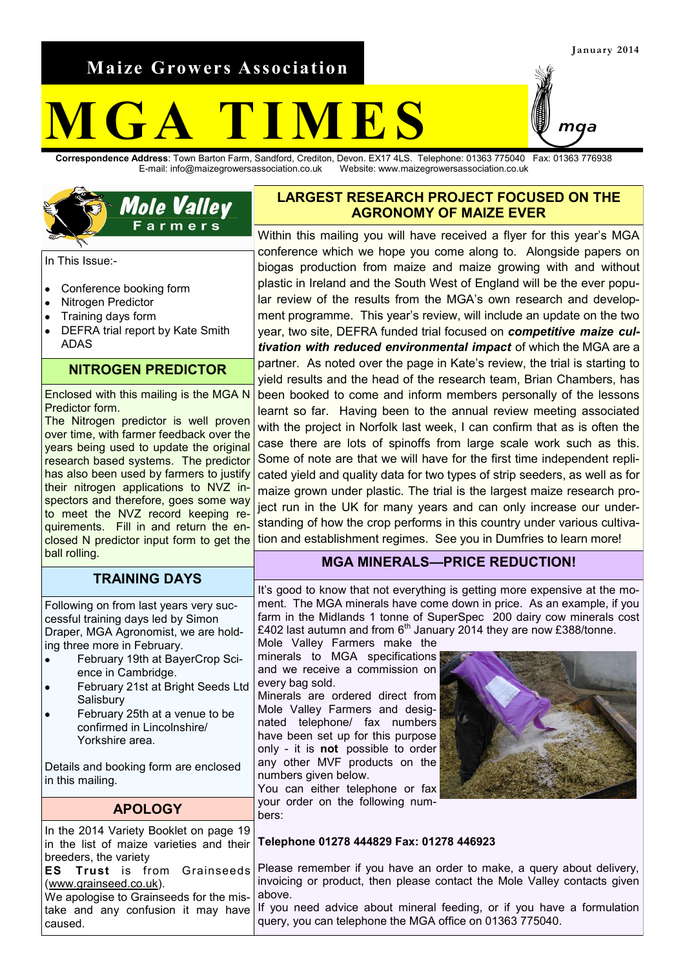**Maize Growers Association**

# **M G A T I M E S**

**Correspondence Address**: Town Barton Farm, Sandford, Crediton, Devon. EX17 4LS. Telephone: 01363 775040 Fax: 01363 776938 E-mail: info@maizegrowersassociation.co.uk Website: www.maizegrowersassociation.co.uk



In This Issue:-

- Conference booking form  $\bullet$
- Nitrogen Predictor
- Training days form
- DEFRA trial report by Kate Smith  $\bullet$ ADAS

## **NITROGEN PREDICTOR**

Enclosed with this mailing is the MGA N Predictor form.

The Nitrogen predictor is well proven over time, with farmer feedback over the years being used to update the original research based systems. The predictor has also been used by farmers to justify their nitrogen applications to NVZ inspectors and therefore, goes some way to meet the NVZ record keeping requirements. Fill in and return the enclosed N predictor input form to get the ball rolling.

#### **TRAINING DAYS**

Following on from last years very successful training days led by Simon Draper, MGA Agronomist, we are holding three more in February.

- February 19th at BayerCrop Sci- $\bullet$ ence in Cambridge.
- February 21st at Bright Seeds Ltd **Salisbury**
- February 25th at a venue to be confirmed in Lincolnshire/ Yorkshire area.

Details and booking form are enclosed in this mailing.

## **APOLOGY**

#### In the 2014 Variety Booklet on page 19 in the list of maize varieties and their breeders, the variety **ES Trust** is from Grainseeds [\(www.grainseed.co.uk\).](http://www.grainseed.co.uk) We apologise to Grainseeds for the mistake and any confusion it may have caused.

## **LARGEST RESEARCH PROJECT FOCUSED ON THE AGRONOMY OF MAIZE EVER**

Within this mailing you will have received a flyer for this year's MGA conference which we hope you come along to. Alongside papers on biogas production from maize and maize growing with and without plastic in Ireland and the South West of England will be the ever popular review of the results from the MGA's own research and development programme. This year's review, will include an update on the two year, two site, DEFRA funded trial focused on *competitive maize cultivation with reduced environmental impact* of which the MGA are a partner. As noted over the page in Kate's review, the trial is starting to yield results and the head of the research team, Brian Chambers, has been booked to come and inform members personally of the lessons learnt so far. Having been to the annual review meeting associated with the project in Norfolk last week, I can confirm that as is often the case there are lots of spinoffs from large scale work such as this. Some of note are that we will have for the first time independent replicated yield and quality data for two types of strip seeders, as well as for maize grown under plastic. The trial is the largest maize research project run in the UK for many years and can only increase our understanding of how the crop performs in this country under various cultivation and establishment regimes. See you in Dumfries to learn more!

## **MGA MINERALS—PRICE REDUCTION!**

It's good to know that not everything is getting more expensive at the moment. The MGA minerals have come down in price. As an example, if you farm in the Midlands 1 tonne of SuperSpec 200 dairy cow minerals cost £402 last autumn and from  $6<sup>th</sup>$  January 2014 they are now £388/tonne. Mole Valley Farmers make the

minerals to MGA specifications and we receive a commission on every bag sold.

Minerals are ordered direct from Mole Valley Farmers and designated telephone/ fax numbers have been set up for this purpose only - it is **not** possible to order any other MVF products on the numbers given below.

You can either telephone or fax your order on the following numbers:



#### **Telephone 01278 444829 Fax: 01278 446923**

Please remember if you have an order to make, a query about delivery, invoicing or product, then please contact the Mole Valley contacts given above.

If you need advice about mineral feeding, or if you have a formulation query, you can telephone the MGA office on 01363 775040.

maa